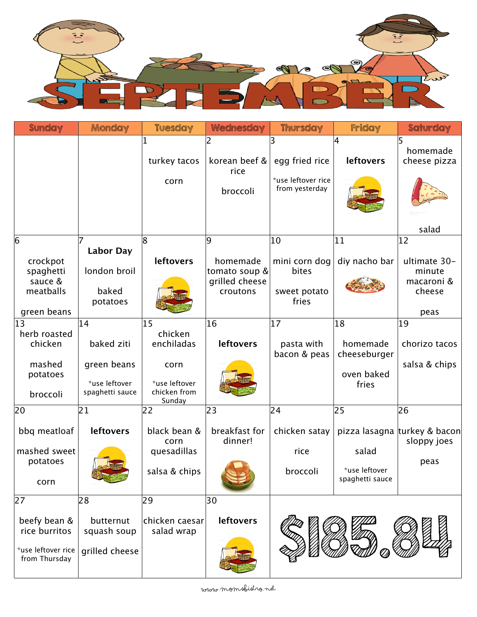

| <b>Sunday</b>                                                              | Monday                                                              | <b>Tuesday</b>                                                                 | Wednesday                                                    | <b>Thursday</b>                                        | Friday                                                | Saturday                                                               |
|----------------------------------------------------------------------------|---------------------------------------------------------------------|--------------------------------------------------------------------------------|--------------------------------------------------------------|--------------------------------------------------------|-------------------------------------------------------|------------------------------------------------------------------------|
|                                                                            |                                                                     | turkey tacos<br>corn                                                           | korean beef &<br>rice<br>broccoli                            | egg fried rice<br>*use leftover rice<br>from yesterday | 4<br><b>leftovers</b>                                 | 5<br>homemade<br>cheese pizza                                          |
|                                                                            |                                                                     |                                                                                |                                                              |                                                        |                                                       | salad                                                                  |
| 6<br>crockpot<br>spaghetti<br>sauce &<br>meatballs<br>green beans          | <b>Labor Day</b><br>london broil<br>baked<br>potatoes               | 8<br><b>leftovers</b>                                                          | 9<br>homemade<br>tomato soup &<br>grilled cheese<br>croutons | 10<br>mini corn dog<br>bites<br>sweet potato<br>fries  | 11<br>diy nacho bar                                   | $ 12\rangle$<br>ultimate 30-<br>minute<br>macaroni &<br>cheese<br>peas |
| 13<br>herb roasted<br>chicken<br>mashed<br>potatoes<br>broccoli            | 14<br>baked ziti<br>green beans<br>*use leftover<br>spaghetti sauce | 15<br>chicken<br>enchiladas<br>corn<br>*use leftover<br>chicken from<br>Sunday | 16<br><b>leftovers</b>                                       | 17<br>pasta with<br>bacon & peas                       | 18<br>homemade<br>cheeseburger<br>oven baked<br>fries | 19<br>chorizo tacos<br>salsa & chips                                   |
| 20                                                                         | 21                                                                  | 22                                                                             | 23                                                           | 24                                                     | 25                                                    | 26                                                                     |
| bbq meatloaf<br>mashed sweet<br>potatoes<br>corn                           | <b>leftovers</b>                                                    | black bean &<br>corn<br>quesadillas<br>salsa & chips                           | breakfast for<br>dinner!                                     | chicken satay<br>rice<br>broccoli                      | salad<br>*use leftover<br>spaghetti sauce             | pizza lasagna turkey & bacon<br>sloppy joes<br>peas                    |
| 27<br>beefy bean &<br>rice burritos<br>*use leftover rice<br>from Thursday | 28<br>butternut<br>squash soup<br>grilled cheese                    | 29<br>chicken caesar<br>salad wrap                                             | 30<br><b>leftovers</b>                                       |                                                        |                                                       |                                                                        |

www.momsbistro.net